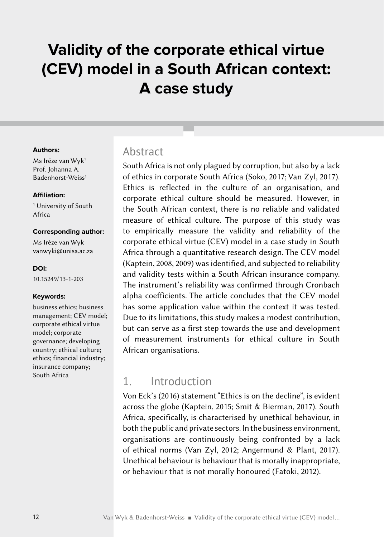# **Validity of the corporate ethical virtue (CEV) model in a South African context: A case study**

#### **Authors:**

Ms Iréze van Wyk<sup>1</sup> Prof. Johanna A. Badenhorst-Weiss<sup>1</sup>

#### **Affiliation:**

1 University of South Africa

#### **Corresponding author:**

Ms Iréze van Wyk vanwyk[i@unisa.ac.za](mailto:MNG2601%40unisa.ac.za?subject=)

#### **DOI:**

[10.15249/13-1-203](https://doi.org/10.15249/13-1-203)

#### **Keywords:**

business ethics; business management; CEV model; corporate ethical virtue model; corporate governance; developing country; ethical culture; ethics; financial industry; insurance company; South Africa

#### **Abstract**

South Africa is not only plagued by corruption, but also by a lack of ethics in corporate South Africa (Soko, 2017; Van Zyl, 2017). Ethics is reflected in the culture of an organisation, and corporate ethical culture should be measured. However, in the South African context, there is no reliable and validated measure of ethical culture. The purpose of this study was to empirically measure the validity and reliability of the corporate ethical virtue (CEV) model in a case study in South Africa through a quantitative research design. The CEV model (Kaptein, 2008, 2009) was identified, and subjected to reliability and validity tests within a South African insurance company. The instrument's reliability was confirmed through Cronbach alpha coefficients. The article concludes that the CEV model has some application value within the context it was tested. Due to its limitations, this study makes a modest contribution, but can serve as a first step towards the use and development of measurement instruments for ethical culture in South African organisations.

### 1. Introduction

Von Eck's (2016) statement "Ethics is on the decline", is evident across the globe (Kaptein, 2015; Smit & Bierman, 2017). South Africa, specifically, is characterised by unethical behaviour, in both the public and private sectors. In the business environment, organisations are continuously being confronted by a lack of ethical norms (Van Zyl, 2012; Angermund & Plant, 2017). Unethical behaviour is behaviour that is morally inappropriate, or behaviour that is not morally honoured (Fatoki, 2012).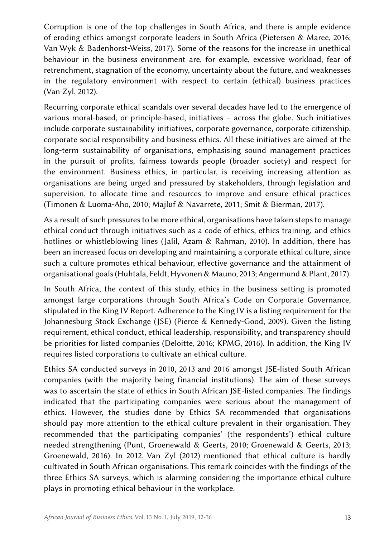Corruption is one of the top challenges in South Africa, and there is ample evidence of eroding ethics amongst corporate leaders in South Africa (Pietersen & Maree, 2016; Van Wyk & Badenhorst-Weiss, 2017). Some of the reasons for the increase in unethical behaviour in the business environment are, for example, excessive workload, fear of retrenchment, stagnation of the economy, uncertainty about the future, and weaknesses in the regulatory environment with respect to certain (ethical) business practices (Van Zyl, 2012).

Recurring corporate ethical scandals over several decades have led to the emergence of various moral-based, or principle-based, initiatives – across the globe. Such initiatives include corporate sustainability initiatives, corporate governance, corporate citizenship, corporate social responsibility and business ethics. All these initiatives are aimed at the long-term sustainability of organisations, emphasising sound management practices in the pursuit of profits, fairness towards people (broader society) and respect for the environment. Business ethics, in particular, is receiving increasing attention as organisations are being urged and pressured by stakeholders, through legislation and supervision, to allocate time and resources to improve and ensure ethical practices (Timonen & Luoma-Aho, 2010; Majluf & Navarrete, 2011; Smit & Bierman, 2017).

As a result of such pressures to be more ethical, organisations have taken steps to manage ethical conduct through initiatives such as a code of ethics, ethics training, and ethics hotlines or whistleblowing lines (Jalil, Azam & Rahman, 2010). In addition, there has been an increased focus on developing and maintaining a corporate ethical culture, since such a culture promotes ethical behaviour, effective governance and the attainment of organisational goals (Huhtala, Feldt, Hyvonen & Mauno, 2013; Angermund & Plant, 2017).

In South Africa, the context of this study, ethics in the business setting is promoted amongst large corporations through South Africa's Code on Corporate Governance, stipulated in the King IV Report. Adherence to the King IV is a listing requirement for the Johannesburg Stock Exchange (JSE) (Pierce & Kennedy-Good, 2009). Given the listing requirement, ethical conduct, ethical leadership, responsibility, and transparency should be priorities for listed companies (Deloitte, 2016; KPMG, 2016). In addition, the King IV requires listed corporations to cultivate an ethical culture.

Ethics SA conducted surveys in 2010, 2013 and 2016 amongst JSE-listed South African companies (with the majority being financial institutions). The aim of these surveys was to ascertain the state of ethics in South African JSE-listed companies. The findings indicated that the participating companies were serious about the management of ethics. However, the studies done by Ethics SA recommended that organisations should pay more attention to the ethical culture prevalent in their organisation. They recommended that the participating companies' (the respondents') ethical culture needed strengthening (Punt, Groenewald & Geerts, 2010; Groenewald & Geerts, 2013; Groenewald, 2016). In 2012, Van Zyl (2012) mentioned that ethical culture is hardly cultivated in South African organisations. This remark coincides with the findings of the three Ethics SA surveys, which is alarming considering the importance ethical culture plays in promoting ethical behaviour in the workplace.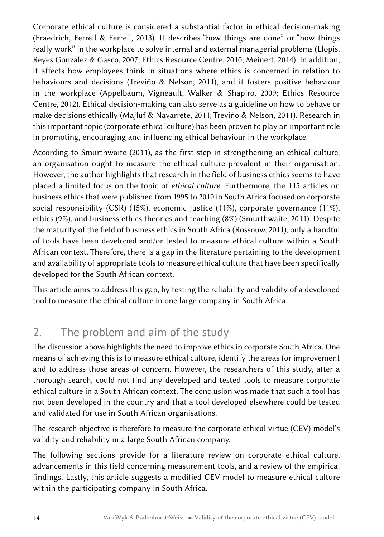Corporate ethical culture is considered a substantial factor in ethical decision-making (Fraedrich, Ferrell & Ferrell, 2013). It describes "how things are done" or "how things really work" in the workplace to solve internal and external managerial problems (Llopis, Reyes Gonzalez & Gasco, 2007; Ethics Resource Centre, 2010; Meinert, 2014). In addition, it affects how employees think in situations where ethics is concerned in relation to behaviours and decisions (Treviño & Nelson, 2011), and it fosters positive behaviour in the workplace (Appelbaum, Vigneault, Walker & Shapiro, 2009; Ethics Resource Centre, 2012). Ethical decision-making can also serve as a guideline on how to behave or make decisions ethically (Majluf & Navarrete, 2011; Treviño & Nelson, 2011). Research in this important topic (corporate ethical culture) has been proven to play an important role in promoting, encouraging and influencing ethical behaviour in the workplace.

According to Smurthwaite (2011), as the first step in strengthening an ethical culture, an organisation ought to measure the ethical culture prevalent in their organisation. However, the author highlights that research in the field of business ethics seems to have placed a limited focus on the topic of *ethical culture*. Furthermore, the 115 articles on business ethics that were published from 1995 to 2010 in South Africa focused on corporate social responsibility (CSR) (15%), economic justice (11%), corporate governance (11%), ethics (9%), and business ethics theories and teaching (8%) (Smurthwaite, 2011). Despite the maturity of the field of business ethics in South Africa (Rossouw, 2011), only a handful of tools have been developed and/or tested to measure ethical culture within a South African context. Therefore, there is a gap in the literature pertaining to the development and availability of appropriate tools to measure ethical culture that have been specifically developed for the South African context.

This article aims to address this gap, by testing the reliability and validity of a developed tool to measure the ethical culture in one large company in South Africa.

## 2. The problem and aim of the study

The discussion above highlights the need to improve ethics in corporate South Africa. One means of achieving this is to measure ethical culture, identify the areas for improvement and to address those areas of concern. However, the researchers of this study, after a thorough search, could not find any developed and tested tools to measure corporate ethical culture in a South African context. The conclusion was made that such a tool has not been developed in the country and that a tool developed elsewhere could be tested and validated for use in South African organisations.

The research objective is therefore to measure the corporate ethical virtue (CEV) model's validity and reliability in a large South African company.

The following sections provide for a literature review on corporate ethical culture, advancements in this field concerning measurement tools, and a review of the empirical findings. Lastly, this article suggests a modified CEV model to measure ethical culture within the participating company in South Africa.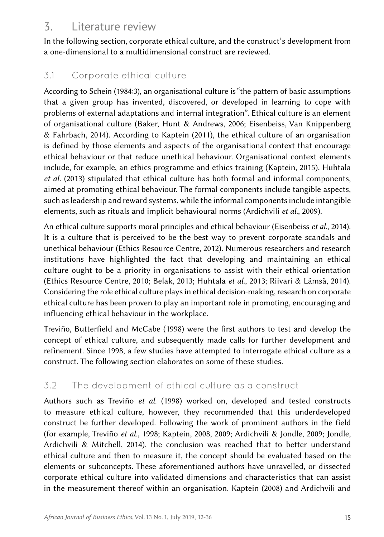## 3. Literature review

In the following section, corporate ethical culture, and the construct's development from a one-dimensional to a multidimensional construct are reviewed.

### 3.1 Corporate ethical culture

According to Schein (1984:3), an organisational culture is "the pattern of basic assumptions that a given group has invented, discovered, or developed in learning to cope with problems of external adaptations and internal integration". Ethical culture is an element of organisational culture (Baker, Hunt & Andrews, 2006; Eisenbeiss, Van Knippenberg & Fahrbach, 2014). According to Kaptein (2011), the ethical culture of an organisation is defined by those elements and aspects of the organisational context that encourage ethical behaviour or that reduce unethical behaviour. Organisational context elements include, for example, an ethics programme and ethics training (Kaptein, 2015). Huhtala *et al.* (2013) stipulated that ethical culture has both formal and informal components, aimed at promoting ethical behaviour. The formal components include tangible aspects, such as leadership and reward systems, while the informal components include intangible elements, such as rituals and implicit behavioural norms (Ardichvili *et al.*, 2009).

An ethical culture supports moral principles and ethical behaviour (Eisenbeiss *et al.*, 2014). It is a culture that is perceived to be the best way to prevent corporate scandals and unethical behaviour (Ethics Resource Centre, 2012). Numerous researchers and research institutions have highlighted the fact that developing and maintaining an ethical culture ought to be a priority in organisations to assist with their ethical orientation (Ethics Resource Centre, 2010; Belak, 2013; Huhtala *et al.*, 2013; Riivari & Lämsä, 2014). Considering the role ethical culture plays in ethical decision-making, research on corporate ethical culture has been proven to play an important role in promoting, encouraging and influencing ethical behaviour in the workplace.

Treviño, Butterfield and McCabe (1998) were the first authors to test and develop the concept of ethical culture, and subsequently made calls for further development and refinement. Since 1998, a few studies have attempted to interrogate ethical culture as a construct. The following section elaborates on some of these studies.

### 3.2 The development of ethical culture as a construct

Authors such as Treviño *et al.* (1998) worked on, developed and tested constructs to measure ethical culture, however, they recommended that this underdeveloped construct be further developed. Following the work of prominent authors in the field (for example, Treviño *et al.*, 1998; Kaptein, 2008, 2009; Ardichvili & Jondle, 2009; Jondle, Ardichvili & Mitchell, 2014), the conclusion was reached that to better understand ethical culture and then to measure it, the concept should be evaluated based on the elements or subconcepts. These aforementioned authors have unravelled, or dissected corporate ethical culture into validated dimensions and characteristics that can assist in the measurement thereof within an organisation. Kaptein (2008) and Ardichvili and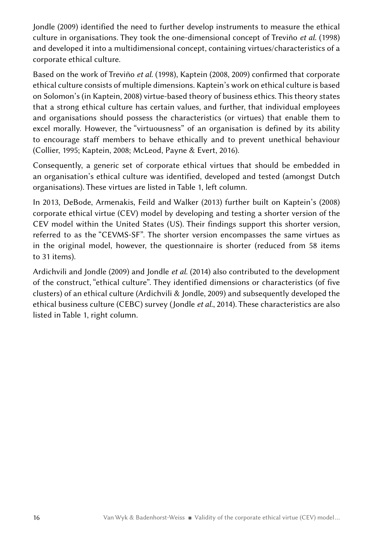Jondle (2009) identified the need to further develop instruments to measure the ethical culture in organisations. They took the one-dimensional concept of Treviño *et al.* (1998) and developed it into a multidimensional concept, containing virtues/characteristics of a corporate ethical culture.

Based on the work of Treviño *et al.* (1998), Kaptein (2008, 2009) confirmed that corporate ethical culture consists of multiple dimensions. Kaptein's work on ethical culture is based on Solomon's (in Kaptein, 2008) virtue-based theory of business ethics. This theory states that a strong ethical culture has certain values, and further, that individual employees and organisations should possess the characteristics (or virtues) that enable them to excel morally. However, the "virtuousness" of an organisation is defined by its ability to encourage staff members to behave ethically and to prevent unethical behaviour (Collier, 1995; Kaptein, 2008; McLeod, Payne & Evert, 2016).

Consequently, a generic set of corporate ethical virtues that should be embedded in an organisation's ethical culture was identified, developed and tested (amongst Dutch organisations). These virtues are listed in Table 1, left column.

In 2013, DeBode, Armenakis, Feild and Walker (2013) further built on Kaptein's (2008) corporate ethical virtue (CEV) model by developing and testing a shorter version of the CEV model within the United States (US). Their findings support this shorter version, referred to as the "CEVMS-SF". The shorter version encompasses the same virtues as in the original model, however, the questionnaire is shorter (reduced from 58 items to 31 items).

Ardichvili and Jondle (2009) and Jondle *et al.* (2014) also contributed to the development of the construct, "ethical culture". They identified dimensions or characteristics (of five clusters) of an ethical culture (Ardichvili & Jondle, 2009) and subsequently developed the ethical business culture (CEBC) survey (Jondle *et al.*, 2014). These characteristics are also listed in Table 1, right column.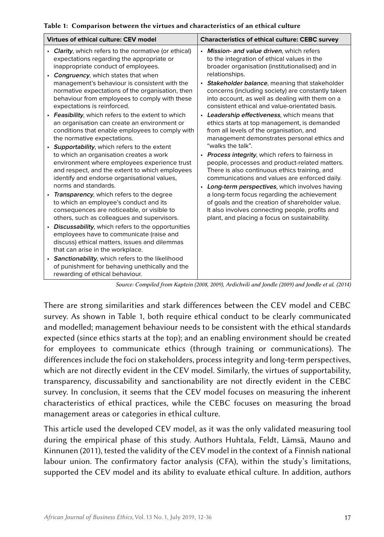|  | Table 1:  Comparison between the virtues and characteristics of an ethical culture |  |  |  |  |  |  |  |
|--|------------------------------------------------------------------------------------|--|--|--|--|--|--|--|
|--|------------------------------------------------------------------------------------|--|--|--|--|--|--|--|

| Virtues of ethical culture: CEV model                                                                                                                                                                                                                                                                                                                                                                                                                                                                                                                                                                                                                                                                                                                                                                                                                                                                                                                                                                                                                                                                                                                                                                                                                                                                                                                                | <b>Characteristics of ethical culture: CEBC survey</b>                                                                                                                                                                                                                                                                                                                                                                                                                                                                                                                                                                                                                                                                                                                                                                                                                                                                                                                                                                                                      |
|----------------------------------------------------------------------------------------------------------------------------------------------------------------------------------------------------------------------------------------------------------------------------------------------------------------------------------------------------------------------------------------------------------------------------------------------------------------------------------------------------------------------------------------------------------------------------------------------------------------------------------------------------------------------------------------------------------------------------------------------------------------------------------------------------------------------------------------------------------------------------------------------------------------------------------------------------------------------------------------------------------------------------------------------------------------------------------------------------------------------------------------------------------------------------------------------------------------------------------------------------------------------------------------------------------------------------------------------------------------------|-------------------------------------------------------------------------------------------------------------------------------------------------------------------------------------------------------------------------------------------------------------------------------------------------------------------------------------------------------------------------------------------------------------------------------------------------------------------------------------------------------------------------------------------------------------------------------------------------------------------------------------------------------------------------------------------------------------------------------------------------------------------------------------------------------------------------------------------------------------------------------------------------------------------------------------------------------------------------------------------------------------------------------------------------------------|
| • Clarity, which refers to the normative (or ethical)<br>expectations regarding the appropriate or<br>inappropriate conduct of employees.<br>• Congruency, which states that when<br>management's behaviour is consistent with the<br>normative expectations of the organisation, then<br>behaviour from employees to comply with these<br>expectations is reinforced.<br>• Feasibility, which refers to the extent to which<br>an organisation can create an environment or<br>conditions that enable employees to comply with<br>the normative expectations.<br>• Supportability, which refers to the extent<br>to which an organisation creates a work<br>environment where employees experience trust<br>and respect, and the extent to which employees<br>identify and endorse organisational values,<br>norms and standards.<br>Transparency, which refers to the degree<br>$\bullet$<br>to which an employee's conduct and its<br>consequences are noticeable, or visible to<br>others, such as colleagues and supervisors.<br>• Discussability, which refers to the opportunities<br>employees have to communicate (raise and<br>discuss) ethical matters, issues and dilemmas<br>that can arise in the workplace.<br>• Sanctionability, which refers to the likelihood<br>of punishment for behaving unethically and the<br>rewarding of ethical behaviour. | • Mission- and value driven, which refers<br>to the integration of ethical values in the<br>broader organisation (institutionalised) and in<br>relationships.<br>• Stakeholder balance, meaning that stakeholder<br>concerns (including society) are constantly taken<br>into account, as well as dealing with them on a<br>consistent ethical and value-orientated basis.<br>• Leadership effectiveness, which means that<br>ethics starts at top management, is demanded<br>from all levels of the organisation, and<br>management demonstrates personal ethics and<br>"walks the talk".<br>• Process integrity, which refers to fairness in<br>people, processes and product-related matters.<br>There is also continuous ethics training, and<br>communications and values are enforced daily.<br>• Long-term perspectives, which involves having<br>a long-term focus regarding the achievement<br>of goals and the creation of shareholder value.<br>It also involves connecting people, profits and<br>plant, and placing a focus on sustainability. |
|                                                                                                                                                                                                                                                                                                                                                                                                                                                                                                                                                                                                                                                                                                                                                                                                                                                                                                                                                                                                                                                                                                                                                                                                                                                                                                                                                                      | $U \cup U$ (good good) $U \cup U \cup U$ and $U$ (good) $U \cup U \cup U$                                                                                                                                                                                                                                                                                                                                                                                                                                                                                                                                                                                                                                                                                                                                                                                                                                                                                                                                                                                   |

*Source: Compiled from Kaptein (2008, 2009), Ardichvili and Jondle (2009) and Jondle et al. (2014)*

There are strong similarities and stark differences between the CEV model and CEBC survey. As shown in Table 1, both require ethical conduct to be clearly communicated and modelled; management behaviour needs to be consistent with the ethical standards expected (since ethics starts at the top); and an enabling environment should be created for employees to communicate ethics (through training or communications). The differences include the foci on stakeholders, process integrity and long-term perspectives, which are not directly evident in the CEV model. Similarly, the virtues of supportability, transparency, discussability and sanctionability are not directly evident in the CEBC survey. In conclusion, it seems that the CEV model focuses on measuring the inherent characteristics of ethical practices, while the CEBC focuses on measuring the broad management areas or categories in ethical culture.

This article used the developed CEV model, as it was the only validated measuring tool during the empirical phase of this study. Authors Huhtala, Feldt, Lämsä, Mauno and Kinnunen (2011), tested the validity of the CEV model in the context of a Finnish national labour union. The confirmatory factor analysis (CFA), within the study's limitations, supported the CEV model and its ability to evaluate ethical culture. In addition, authors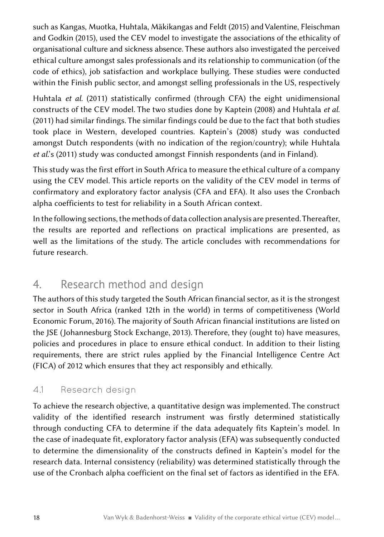such as Kangas, Muotka, Huhtala, Mäkikangas and Feldt (2015) and Valentine, Fleischman and Godkin (2015), used the CEV model to investigate the associations of the ethicality of organisational culture and sickness absence. These authors also investigated the perceived ethical culture amongst sales professionals and its relationship to communication (of the code of ethics), job satisfaction and workplace bullying. These studies were conducted within the Finish public sector, and amongst selling professionals in the US, respectively

Huhtala *et al*. (2011) statistically confirmed (through CFA) the eight unidimensional constructs of the CEV model. The two studies done by Kaptein (2008) and Huhtala *et al*. (2011) had similar findings. The similar findings could be due to the fact that both studies took place in Western, developed countries. Kaptein's (2008) study was conducted amongst Dutch respondents (with no indication of the region/country); while Huhtala *et al*.'s (2011) study was conducted amongst Finnish respondents (and in Finland).

This study was the first effort in South Africa to measure the ethical culture of a company using the CEV model. This article reports on the validity of the CEV model in terms of confirmatory and exploratory factor analysis (CFA and EFA). It also uses the Cronbach alpha coefficients to test for reliability in a South African context.

In the following sections, the methods of data collection analysis are presented. Thereafter, the results are reported and reflections on practical implications are presented, as well as the limitations of the study. The article concludes with recommendations for future research.

## 4. Research method and design

The authors of this study targeted the South African financial sector, as it is the strongest sector in South Africa (ranked 12th in the world) in terms of competitiveness (World Economic Forum, 2016). The majority of South African financial institutions are listed on the JSE (Johannesburg Stock Exchange, 2013). Therefore, they (ought to) have measures, policies and procedures in place to ensure ethical conduct. In addition to their listing requirements, there are strict rules applied by the Financial Intelligence Centre Act (FICA) of 2012 which ensures that they act responsibly and ethically.

### 4.1 Research design

To achieve the research objective, a quantitative design was implemented. The construct validity of the identified research instrument was firstly determined statistically through conducting CFA to determine if the data adequately fits Kaptein's model. In the case of inadequate fit, exploratory factor analysis (EFA) was subsequently conducted to determine the dimensionality of the constructs defined in Kaptein's model for the research data. Internal consistency (reliability) was determined statistically through the use of the Cronbach alpha coefficient on the final set of factors as identified in the EFA.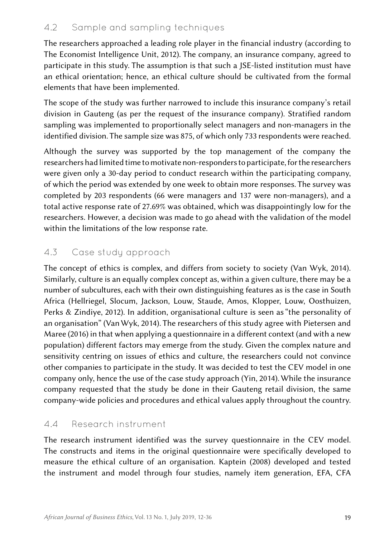### 4.2 Sample and sampling techniques

The researchers approached a leading role player in the financial industry (according to The Economist Intelligence Unit, 2012). The company, an insurance company, agreed to participate in this study. The assumption is that such a JSE-listed institution must have an ethical orientation; hence, an ethical culture should be cultivated from the formal elements that have been implemented.

The scope of the study was further narrowed to include this insurance company's retail division in Gauteng (as per the request of the insurance company). Stratified random sampling was implemented to proportionally select managers and non-managers in the identified division. The sample size was 875, of which only 733 respondents were reached.

Although the survey was supported by the top management of the company the researchers had limited time to motivate non-responders to participate, for the researchers were given only a 30-day period to conduct research within the participating company, of which the period was extended by one week to obtain more responses. The survey was completed by 203 respondents (66 were managers and 137 were non-managers), and a total active response rate of 27.69% was obtained, which was disappointingly low for the researchers. However, a decision was made to go ahead with the validation of the model within the limitations of the low response rate.

### 4.3 Case study approach

The concept of ethics is complex, and differs from society to society (Van Wyk, 2014). Similarly, culture is an equally complex concept as, within a given culture, there may be a number of subcultures, each with their own distinguishing features as is the case in South Africa (Hellriegel, Slocum, Jackson, Louw, Staude, Amos, Klopper, Louw, Oosthuizen, Perks & Zindiye, 2012). In addition, organisational culture is seen as "the personality of an organisation" (Van Wyk, 2014). The researchers of this study agree with Pietersen and Maree (2016) in that when applying a questionnaire in a different context (and with a new population) different factors may emerge from the study. Given the complex nature and sensitivity centring on issues of ethics and culture, the researchers could not convince other companies to participate in the study. It was decided to test the CEV model in one company only, hence the use of the case study approach (Yin, 2014). While the insurance company requested that the study be done in their Gauteng retail division, the same company-wide policies and procedures and ethical values apply throughout the country.

#### 4.4 Research instrument

The research instrument identified was the survey questionnaire in the CEV model. The constructs and items in the original questionnaire were specifically developed to measure the ethical culture of an organisation. Kaptein (2008) developed and tested the instrument and model through four studies, namely item generation, EFA, CFA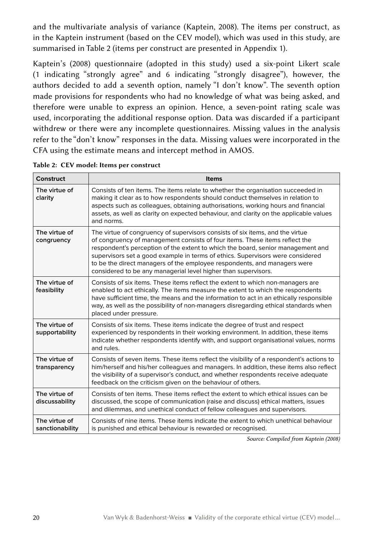and the multivariate analysis of variance (Kaptein, 2008). The items per construct, as in the Kaptein instrument (based on the CEV model), which was used in this study, are summarised in Table 2 (items per construct are presented in Appendix 1).

Kaptein's (2008) questionnaire (adopted in this study) used a six-point Likert scale (1 indicating "strongly agree" and 6 indicating "strongly disagree"), however, the authors decided to add a seventh option, namely "I don't know". The seventh option made provisions for respondents who had no knowledge of what was being asked, and therefore were unable to express an opinion. Hence, a seven-point rating scale was used, incorporating the additional response option. Data was discarded if a participant withdrew or there were any incomplete questionnaires. Missing values in the analysis refer to the "don't know" responses in the data. Missing values were incorporated in the CFA using the estimate means and intercept method in AMOS.

| Construct                        | <b>Items</b>                                                                                                                                                                                                                                                                                                                                                                                                                                                                    |
|----------------------------------|---------------------------------------------------------------------------------------------------------------------------------------------------------------------------------------------------------------------------------------------------------------------------------------------------------------------------------------------------------------------------------------------------------------------------------------------------------------------------------|
| The virtue of<br>clarity         | Consists of ten items. The items relate to whether the organisation succeeded in<br>making it clear as to how respondents should conduct themselves in relation to<br>aspects such as colleagues, obtaining authorisations, working hours and financial<br>assets, as well as clarity on expected behaviour, and clarity on the applicable values<br>and norms.                                                                                                                 |
| The virtue of<br>congruency      | The virtue of congruency of supervisors consists of six items, and the virtue<br>of congruency of management consists of four items. These items reflect the<br>respondent's perception of the extent to which the board, senior management and<br>supervisors set a good example in terms of ethics. Supervisors were considered<br>to be the direct managers of the employee respondents, and managers were<br>considered to be any managerial level higher than supervisors. |
| The virtue of<br>feasibility     | Consists of six items. These items reflect the extent to which non-managers are<br>enabled to act ethically. The items measure the extent to which the respondents<br>have sufficient time, the means and the information to act in an ethically responsible<br>way, as well as the possibility of non-managers disregarding ethical standards when<br>placed under pressure.                                                                                                   |
| The virtue of<br>supportability  | Consists of six items. These items indicate the degree of trust and respect<br>experienced by respondents in their working environment. In addition, these items<br>indicate whether respondents identify with, and support organisational values, norms<br>and rules.                                                                                                                                                                                                          |
| The virtue of<br>transparency    | Consists of seven items. These items reflect the visibility of a respondent's actions to<br>him/herself and his/her colleagues and managers. In addition, these items also reflect<br>the visibility of a supervisor's conduct, and whether respondents receive adequate<br>feedback on the criticism given on the behaviour of others.                                                                                                                                         |
| The virtue of<br>discussability  | Consists of ten items. These items reflect the extent to which ethical issues can be<br>discussed, the scope of communication (raise and discuss) ethical matters, issues<br>and dilemmas, and unethical conduct of fellow colleagues and supervisors.                                                                                                                                                                                                                          |
| The virtue of<br>sanctionability | Consists of nine items. These items indicate the extent to which unethical behaviour<br>is punished and ethical behaviour is rewarded or recognised.                                                                                                                                                                                                                                                                                                                            |

Table 2: CEV model: Items per construct

*Source: Compiled from Kaptein (2008)*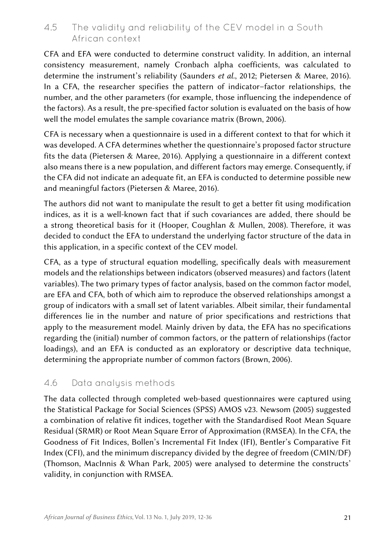#### 4.5 The validity and reliability of the CEV model in a South African context

CFA and EFA were conducted to determine construct validity. In addition, an internal consistency measurement, namely Cronbach alpha coefficients, was calculated to determine the instrument's reliability (Saunders *et al.*, 2012; Pietersen & Maree, 2016). In a CFA, the researcher specifies the pattern of indicator–factor relationships, the number, and the other parameters (for example, those influencing the independence of the factors). As a result, the pre-specified factor solution is evaluated on the basis of how well the model emulates the sample covariance matrix (Brown, 2006).

CFA is necessary when a questionnaire is used in a different context to that for which it was developed. A CFA determines whether the questionnaire's proposed factor structure fits the data (Pietersen & Maree, 2016). Applying a questionnaire in a different context also means there is a new population, and different factors may emerge. Consequently, if the CFA did not indicate an adequate fit, an EFA is conducted to determine possible new and meaningful factors (Pietersen & Maree, 2016).

The authors did not want to manipulate the result to get a better fit using modification indices, as it is a well-known fact that if such covariances are added, there should be a strong theoretical basis for it (Hooper, Coughlan & Mullen, 2008). Therefore, it was decided to conduct the EFA to understand the underlying factor structure of the data in this application, in a specific context of the CEV model.

CFA, as a type of structural equation modelling, specifically deals with measurement models and the relationships between indicators (observed measures) and factors (latent variables). The two primary types of factor analysis, based on the common factor model, are EFA and CFA, both of which aim to reproduce the observed relationships amongst a group of indicators with a small set of latent variables. Albeit similar, their fundamental differences lie in the number and nature of prior specifications and restrictions that apply to the measurement model. Mainly driven by data, the EFA has no specifications regarding the (initial) number of common factors, or the pattern of relationships (factor loadings), and an EFA is conducted as an exploratory or descriptive data technique, determining the appropriate number of common factors (Brown, 2006).

#### 4.6 Data analysis methods

The data collected through completed web-based questionnaires were captured using the Statistical Package for Social Sciences (SPSS) AMOS v23. Newsom (2005) suggested a combination of relative fit indices, together with the Standardised Root Mean Square Residual (SRMR) or Root Mean Square Error of Approximation (RMSEA). In the CFA, the Goodness of Fit Indices, Bollen's Incremental Fit Index (IFI), Bentler's Comparative Fit Index (CFI), and the minimum discrepancy divided by the degree of freedom (CMIN/DF) (Thomson, MacInnis & Whan Park, 2005) were analysed to determine the constructs' validity, in conjunction with RMSEA.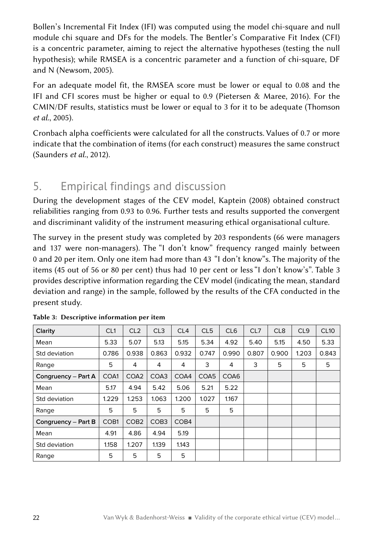Bollen's Incremental Fit Index (IFI) was computed using the model chi-square and null module chi square and DFs for the models. The Bentler's Comparative Fit Index (CFI) is a concentric parameter, aiming to reject the alternative hypotheses (testing the null hypothesis); while RMSEA is a concentric parameter and a function of chi-square, DF and N (Newsom, 2005).

For an adequate model fit, the RMSEA score must be lower or equal to 0.08 and the IFI and CFI scores must be higher or equal to 0.9 (Pietersen & Maree, 2016). For the CMIN/DF results, statistics must be lower or equal to 3 for it to be adequate (Thomson *et al.*, 2005).

Cronbach alpha coefficients were calculated for all the constructs. Values of 0.7 or more indicate that the combination of items (for each construct) measures the same construct (Saunders *et al.*, 2012).

## 5. Empirical findings and discussion

During the development stages of the CEV model, Kaptein (2008) obtained construct reliabilities ranging from 0.93 to 0.96. Further tests and results supported the convergent and discriminant validity of the instrument measuring ethical organisational culture.

The survey in the present study was completed by 203 respondents (66 were managers and 137 were non-managers). The "I don't know" frequency ranged mainly between 0 and 20 per item. Only one item had more than 43 "I don't know"s. The majority of the items (45 out of 56 or 80 per cent) thus had 10 per cent or less "I don't know's". Table 3 provides descriptive information regarding the CEV model (indicating the mean, standard deviation and range) in the sample, followed by the results of the CFA conducted in the present study.

| Clarity               | CL <sub>1</sub>  | CL <sub>2</sub>  | CL3              | CL4              | CL <sub>5</sub> | CL <sub>6</sub> | CL7   | CL <sub>8</sub> | CL <sub>9</sub> | <b>CL10</b> |
|-----------------------|------------------|------------------|------------------|------------------|-----------------|-----------------|-------|-----------------|-----------------|-------------|
| Mean                  | 5.33             | 5.07             | 5.13             | 5.15             | 5.34            | 4.92            | 5.40  | 5.15            | 4.50            | 5.33        |
| Std deviation         | 0.786            | 0.938            | 0.863            | 0.932            | 0.747           | 0.990           | 0.807 | 0.900           | 1.203           | 0.843       |
| Range                 | 5                | 4                | 4                | 4                | 3               | 4               | 3     | 5               | 5               | 5           |
| Congruency – Part A   | COA1             | COA <sub>2</sub> | COA3             | COA4             | COA5            | COA6            |       |                 |                 |             |
| Mean                  | 5.17             | 4.94             | 5.42             | 5.06             | 5.21            | 5.22            |       |                 |                 |             |
| Std deviation         | 1.229            | 1.253            | 1.063            | 1.200            | 1.027           | 1.167           |       |                 |                 |             |
| Range                 | 5                | 5                | 5                | 5                | 5               | 5               |       |                 |                 |             |
| Congruency $-$ Part B | COB <sub>1</sub> | COB <sub>2</sub> | COB <sub>3</sub> | COB <sub>4</sub> |                 |                 |       |                 |                 |             |
| Mean                  | 4.91             | 4.86             | 4.94             | 5.19             |                 |                 |       |                 |                 |             |
| Std deviation         | 1.158            | 1.207            | 1.139            | 1.143            |                 |                 |       |                 |                 |             |
| Range                 | 5                | 5                | 5                | 5                |                 |                 |       |                 |                 |             |

|  |  | Table 3: Descriptive information per item |  |
|--|--|-------------------------------------------|--|
|--|--|-------------------------------------------|--|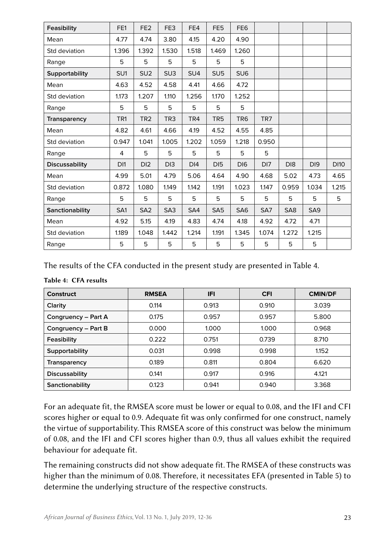| Feasibility           | FE1             | FE <sub>2</sub> | FE3             | FE4             | FE <sub>5</sub> | FE <sub>6</sub> |                 |                 |                 |             |
|-----------------------|-----------------|-----------------|-----------------|-----------------|-----------------|-----------------|-----------------|-----------------|-----------------|-------------|
| Mean                  | 4.77            | 4.74            | 3.80            | 4.15            | 4.20            | 4.90            |                 |                 |                 |             |
| Std deviation         | 1.396           | 1.392           | 1.530           | 1.518           | 1.469           | 1.260           |                 |                 |                 |             |
| Range                 | 5               | 5               | 5               | 5               | 5               | 5               |                 |                 |                 |             |
| Supportability        | SU <sub>1</sub> | SU <sub>2</sub> | SU <sub>3</sub> | SU <sub>4</sub> | SU <sub>5</sub> | SU <sub>6</sub> |                 |                 |                 |             |
| Mean                  | 4.63            | 4.52            | 4.58            | 4.41            | 4.66            | 4.72            |                 |                 |                 |             |
| Std deviation         | 1.173           | 1.207           | 1.110           | 1.256           | 1.170           | 1.252           |                 |                 |                 |             |
| Range                 | 5               | 5               | 5               | 5               | 5               | 5               |                 |                 |                 |             |
| Transparency          | TR <sub>1</sub> | TR <sub>2</sub> | TR <sub>3</sub> | TR4             | TR <sub>5</sub> | TR <sub>6</sub> | TR7             |                 |                 |             |
| Mean                  | 4.82            | 4.61            | 4.66            | 4.19            | 4.52            | 4.55            | 4.85            |                 |                 |             |
| Std deviation         | 0.947           | 1.041           | 1.005           | 1.202           | 1.059           | 1.218           | 0.950           |                 |                 |             |
| Range                 | 4               | 5               | 5               | 5               | 5               | 5               | 5               |                 |                 |             |
| <b>Discussability</b> | DI1             | D <sub>12</sub> | D <sub>13</sub> | DI4             | D <sub>15</sub> | D <sub>16</sub> | D <sub>17</sub> | D <sub>18</sub> | D <sub>19</sub> | <b>DI10</b> |
| Mean                  | 4.99            | 5.01            | 4.79            | 5.06            | 4.64            | 4.90            | 4.68            | 5.02            | 4.73            | 4.65        |
| Std deviation         | 0.872           | 1.080           | 1.149           | 1.142           | 1.191           | 1.023           | 1.147           | 0.959           | 1.034           | 1.215       |
| Range                 | 5               | 5               | 5               | 5               | 5               | 5               | 5               | 5               | 5               | 5           |
| Sanctionability       | SA1             | SA <sub>2</sub> | SA <sub>3</sub> | SA4             | SA <sub>5</sub> | SA <sub>6</sub> | SA7             | SA <sub>8</sub> | SA <sub>9</sub> |             |
| Mean                  | 4.92            | 5.15            | 4.19            | 4.83            | 4.74            | 4.18            | 4.92            | 4.72            | 4.71            |             |
| Std deviation         | 1.189           | 1.048           | 1.442           | 1.214           | 1.191           | 1.345           | 1.074           | 1.272           | 1.215           |             |
| Range                 | 5               | 5               | 5               | 5               | 5               | 5               | 5               | 5               | 5               |             |

The results of the CFA conducted in the present study are presented in Table 4.

| Construct             | <b>RMSEA</b> | IFI   | <b>CFI</b> | <b>CMIN/DF</b> |
|-----------------------|--------------|-------|------------|----------------|
| Clarity               | 0.114        | 0.913 | 0.910      | 3.039          |
| Congruency - Part A   | 0.175        | 0.957 | 0.957      | 5.800          |
| Congruency - Part B   | 0.000        | 1.000 | 1.000      | 0.968          |
| Feasibility           | 0.222        | 0.751 | 0.739      | 8.710          |
| <b>Supportability</b> | 0.031        | 0.998 | 0.998      | 1.152          |
| Transparency          | 0.189        | 0.811 | 0.804      | 6.620          |
| <b>Discussability</b> | 0.141        | 0.917 | 0.916      | 4.121          |
| Sanctionability       | 0.123        | 0.941 | 0.940      | 3.368          |

#### Table 4: CFA results

For an adequate fit, the RMSEA score must be lower or equal to 0.08, and the IFI and CFI scores higher or equal to 0.9. Adequate fit was only confirmed for one construct, namely the virtue of supportability. This RMSEA score of this construct was below the minimum of 0.08, and the IFI and CFI scores higher than 0.9, thus all values exhibit the required behaviour for adequate fit.

The remaining constructs did not show adequate fit. The RMSEA of these constructs was higher than the minimum of 0.08. Therefore, it necessitates EFA (presented in Table 5) to determine the underlying structure of the respective constructs.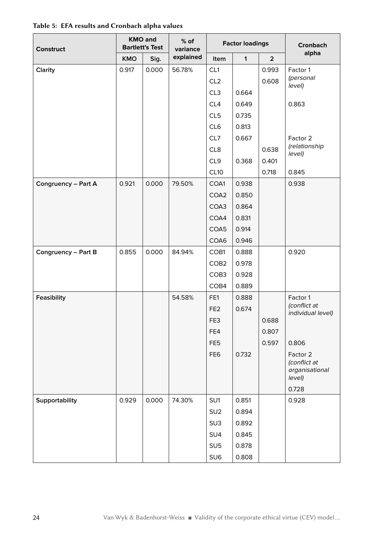| <b>Construct</b>    | <b>KMO and</b><br><b>Bartlett's Test</b> |       | $%$ of<br>variance |                  | <b>Factor loadings</b> | <b>Cronbach</b> |                                                      |
|---------------------|------------------------------------------|-------|--------------------|------------------|------------------------|-----------------|------------------------------------------------------|
|                     | <b>KMO</b>                               | Sig.  | explained          | Item             | $\mathbf{1}$           | $\overline{2}$  | alpha                                                |
| Clarity             | 0.917                                    | 0.000 | 56.78%             | CL <sub>1</sub>  |                        | 0.993           | Factor 1                                             |
|                     |                                          |       |                    | CL <sub>2</sub>  |                        | 0.608           | (personal<br>level)                                  |
|                     |                                          |       |                    | CL3              | 0.664                  |                 |                                                      |
|                     |                                          |       |                    | CL4              | 0.649                  |                 | 0.863                                                |
|                     |                                          |       |                    | CL <sub>5</sub>  | 0.735                  |                 |                                                      |
|                     |                                          |       |                    | CL6              | 0.813                  |                 |                                                      |
|                     |                                          |       |                    | CL7              | 0.667                  |                 | Factor 2                                             |
|                     |                                          |       |                    | CL8              |                        | 0.638           | (relationship<br>level)                              |
|                     |                                          |       |                    | CL9              | 0.368                  | 0.401           |                                                      |
|                     |                                          |       |                    | CL10             |                        | 0.718           | 0.845                                                |
| Congruency - Part A | 0.921                                    | 0.000 | 79.50%             | COA1             | 0.938                  |                 | 0.938                                                |
|                     |                                          |       |                    | COA2             | 0.850                  |                 |                                                      |
|                     |                                          |       |                    | COA3             | 0.864                  |                 |                                                      |
|                     |                                          |       |                    | COA4             | 0.831                  |                 |                                                      |
|                     |                                          |       |                    | COA5             | 0.914                  |                 |                                                      |
|                     |                                          |       |                    | COA6             | 0.946                  |                 |                                                      |
| Congruency - Part B | 0.855                                    | 0.000 | 84.94%             | COB1             | 0.888                  |                 | 0.920                                                |
|                     |                                          |       |                    | COB <sub>2</sub> | 0.978                  |                 |                                                      |
|                     |                                          |       |                    | COB <sub>3</sub> | 0.928                  |                 |                                                      |
|                     |                                          |       |                    | COB4             | 0.889                  |                 |                                                      |
| Feasibility         |                                          |       | 54.58%             | FE1              | 0.888                  |                 | Factor 1                                             |
|                     |                                          |       |                    | FE <sub>2</sub>  | 0.674                  |                 | (conflict at<br>individual level)                    |
|                     |                                          |       |                    | FE3              |                        | 0.688           |                                                      |
|                     |                                          |       |                    | FE4              |                        | 0.807           |                                                      |
|                     |                                          |       |                    | FE <sub>5</sub>  |                        | 0.597           | 0.806                                                |
|                     |                                          |       |                    | FE <sub>6</sub>  | 0.732                  |                 | Factor 2<br>(conflict at<br>organisational<br>level) |
|                     |                                          |       |                    |                  |                        |                 | 0.728                                                |
| Supportability      | 0.929                                    | 0.000 | 74.30%             | SU1              | 0.851                  |                 | 0.928                                                |
|                     |                                          |       |                    | SU <sub>2</sub>  | 0.894                  |                 |                                                      |
|                     |                                          |       |                    | SU <sub>3</sub>  | 0.892                  |                 |                                                      |
|                     |                                          |       |                    | SU <sub>4</sub>  | 0.845                  |                 |                                                      |
|                     |                                          |       |                    | SU <sub>5</sub>  | 0.878                  |                 |                                                      |
|                     |                                          |       |                    | SU6              | 0.808                  |                 |                                                      |

Table 5: EFA results and Cronbach alpha values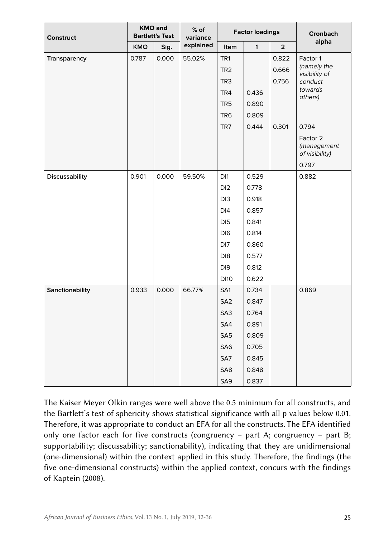| <b>Construct</b>      | <b>KMO</b> and<br><b>Bartlett's Test</b> |       | $%$ of<br>variance |                                                       | <b>Factor loadings</b> | <b>Cronbach</b>         |                                                     |
|-----------------------|------------------------------------------|-------|--------------------|-------------------------------------------------------|------------------------|-------------------------|-----------------------------------------------------|
|                       | <b>KMO</b>                               | Sig.  | explained          | Item                                                  | 1                      | $\overline{2}$          | alpha                                               |
| Transparency          | 0.787                                    | 0.000 | 55.02%             | TR <sub>1</sub><br>TR <sub>2</sub><br>TR <sub>3</sub> |                        | 0.822<br>0.666<br>0.756 | Factor 1<br>(namely the<br>visibility of<br>conduct |
|                       |                                          |       |                    | TR4                                                   | 0.436                  |                         | towards                                             |
|                       |                                          |       |                    | TR <sub>5</sub>                                       | 0.890                  |                         | others)                                             |
|                       |                                          |       |                    | TR <sub>6</sub>                                       | 0.809                  |                         |                                                     |
|                       |                                          |       |                    | TR7                                                   | 0.444                  | 0.301                   | 0.794                                               |
|                       |                                          |       |                    |                                                       |                        |                         | Factor 2<br>(management<br>of visibility)           |
|                       |                                          |       |                    |                                                       |                        |                         | 0.797                                               |
| <b>Discussability</b> | 0.901                                    | 0.000 | 59.50%             | D <sub>11</sub>                                       | 0.529                  |                         | 0.882                                               |
|                       |                                          |       |                    | DI <sub>2</sub>                                       | 0.778                  |                         |                                                     |
|                       |                                          |       |                    | DI <sub>3</sub>                                       | 0.918                  |                         |                                                     |
|                       |                                          |       |                    | DI <sub>4</sub>                                       | 0.857                  |                         |                                                     |
|                       |                                          |       |                    | DI <sub>5</sub>                                       | 0.841                  |                         |                                                     |
|                       |                                          |       |                    | DI <sub>6</sub>                                       | 0.814                  |                         |                                                     |
|                       |                                          |       |                    | DI <sub>7</sub>                                       | 0.860                  |                         |                                                     |
|                       |                                          |       |                    | DI8                                                   | 0.577                  |                         |                                                     |
|                       |                                          |       |                    | DI <sub>9</sub>                                       | 0.812                  |                         |                                                     |
|                       |                                          |       |                    | <b>DI10</b>                                           | 0.622                  |                         |                                                     |
| Sanctionability       | 0.933                                    | 0.000 | 66.77%             | SA1                                                   | 0.734                  |                         | 0.869                                               |
|                       |                                          |       |                    | SA <sub>2</sub><br>SA3                                | 0.847<br>0.764         |                         |                                                     |
|                       |                                          |       |                    | SA4                                                   | 0.891                  |                         |                                                     |
|                       |                                          |       |                    | SA <sub>5</sub>                                       | 0.809                  |                         |                                                     |
|                       |                                          |       |                    | SA <sub>6</sub>                                       | 0.705                  |                         |                                                     |
|                       |                                          |       |                    | SA7                                                   | 0.845                  |                         |                                                     |
|                       |                                          |       |                    | SA8                                                   | 0.848                  |                         |                                                     |
|                       |                                          |       |                    | SA <sub>9</sub>                                       | 0.837                  |                         |                                                     |

The Kaiser Meyer Olkin ranges were well above the 0.5 minimum for all constructs, and the Bartlett's test of sphericity shows statistical significance with all p values below 0.01. Therefore, it was appropriate to conduct an EFA for all the constructs. The EFA identified only one factor each for five constructs (congruency – part A; congruency – part B; supportability; discussability; sanctionability), indicating that they are unidimensional (one-dimensional) within the context applied in this study. Therefore, the findings (the five one-dimensional constructs) within the applied context, concurs with the findings of Kaptein (2008).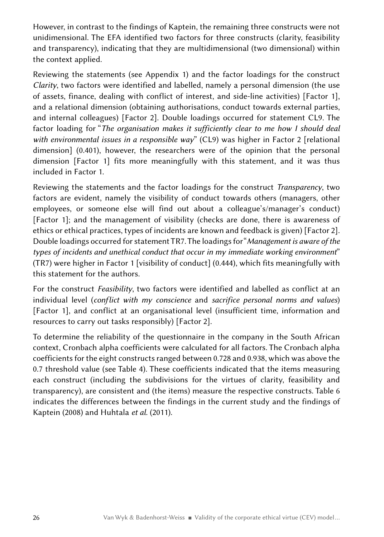However, in contrast to the findings of Kaptein, the remaining three constructs were not unidimensional. The EFA identified two factors for three constructs (clarity, feasibility and transparency), indicating that they are multidimensional (two dimensional) within the context applied.

Reviewing the statements (see Appendix 1) and the factor loadings for the construct *Clarity*, two factors were identified and labelled, namely a personal dimension (the use of assets, finance, dealing with conflict of interest, and side-line activities) [Factor 1], and a relational dimension (obtaining authorisations, conduct towards external parties, and internal colleagues) [Factor 2]. Double loadings occurred for statement CL9. The factor loading for "*The organisation makes it sufficiently clear to me how I should deal with environmental issues in a responsible way*" (CL9) was higher in Factor 2 [relational dimension] (0.401), however, the researchers were of the opinion that the personal dimension [Factor 1] fits more meaningfully with this statement, and it was thus included in Factor 1.

Reviewing the statements and the factor loadings for the construct *Transparency*, two factors are evident, namely the visibility of conduct towards others (managers, other employees, or someone else will find out about a colleague's/manager's conduct) [Factor 1]; and the management of visibility (checks are done, there is awareness of ethics or ethical practices, types of incidents are known and feedback is given) [Factor 2]. Double loadings occurred for statement TR7. The loadings for "*Management is aware of the types of incidents and unethical conduct that occur in my immediate working environment*" (TR7) were higher in Factor 1 [visibility of conduct] (0.444), which fits meaningfully with this statement for the authors.

For the construct *Feasibility*, two factors were identified and labelled as conflict at an individual level (*conflict with my conscience* and *sacrifice personal norms and values*) [Factor 1], and conflict at an organisational level (insufficient time, information and resources to carry out tasks responsibly) [Factor 2].

To determine the reliability of the questionnaire in the company in the South African context, Cronbach alpha coefficients were calculated for all factors. The Cronbach alpha coefficients for the eight constructs ranged between 0.728 and 0.938, which was above the 0.7 threshold value (see Table 4). These coefficients indicated that the items measuring each construct (including the subdivisions for the virtues of clarity, feasibility and transparency), are consistent and (the items) measure the respective constructs. Table 6 indicates the differences between the findings in the current study and the findings of Kaptein (2008) and Huhtala *et al*. (2011).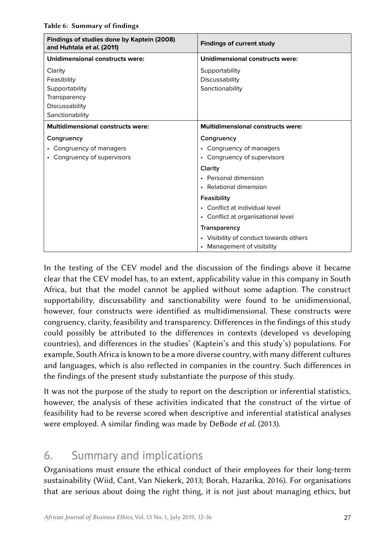| Findings of studies done by Kaptein (2008)<br>and Huhtala et al. (2011) | <b>Findings of current study</b>         |
|-------------------------------------------------------------------------|------------------------------------------|
| Unidimensional constructs were:                                         | <b>Unidimensional constructs were:</b>   |
| Clarity                                                                 | Supportability                           |
| Feasibility                                                             | Discussability                           |
| Supportability                                                          | Sanctionability                          |
| Transparency                                                            |                                          |
| Discussability                                                          |                                          |
| Sanctionability                                                         |                                          |
| <b>Multidimensional constructs were:</b>                                | <b>Multidimensional constructs were:</b> |
| Congruency                                                              | Congruency                               |
| • Congruency of managers                                                | • Congruency of managers                 |
| • Congruency of supervisors                                             | • Congruency of supervisors              |
|                                                                         | Clarity                                  |
|                                                                         | • Personal dimension                     |
|                                                                         | • Relational dimension                   |
|                                                                         | Feasibility                              |
|                                                                         | • Conflict at individual level           |
|                                                                         | • Conflict at organisational level       |
|                                                                         | Transparency                             |
|                                                                         | • Visibility of conduct towards others   |
|                                                                         | • Management of visibility               |

In the testing of the CEV model and the discussion of the findings above it became clear that the CEV model has, to an extent, applicability value in this company in South Africa, but that the model cannot be applied without some adaption. The construct supportability, discussability and sanctionability were found to be unidimensional, however, four constructs were identified as multidimensional. These constructs were congruency, clarity, feasibility and transparency. Differences in the findings of this study could possibly be attributed to the differences in contexts (developed vs developing countries), and differences in the studies' (Kaptein's and this study's) populations. For example, South Africa is known to be a more diverse country, with many different cultures and languages, which is also reflected in companies in the country. Such differences in the findings of the present study substantiate the purpose of this study.

It was not the purpose of the study to report on the description or inferential statistics, however, the analysis of these activities indicated that the construct of the virtue of feasibility had to be reverse scored when descriptive and inferential statistical analyses were employed. A similar finding was made by DeBode *et al.* (2013).

## 6. Summary and implications

Organisations must ensure the ethical conduct of their employees for their long-term sustainability (Wiid, Cant, Van Niekerk, 2013; Borah, Hazarika, 2016). For organisations that are serious about doing the right thing, it is not just about managing ethics, but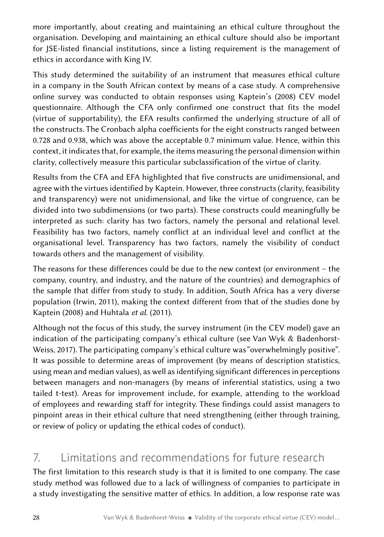more importantly, about creating and maintaining an ethical culture throughout the organisation. Developing and maintaining an ethical culture should also be important for JSE-listed financial institutions, since a listing requirement is the management of ethics in accordance with King IV.

This study determined the suitability of an instrument that measures ethical culture in a company in the South African context by means of a case study. A comprehensive online survey was conducted to obtain responses using Kaptein's (2008) CEV model questionnaire. Although the CFA only confirmed one construct that fits the model (virtue of supportability), the EFA results confirmed the underlying structure of all of the constructs. The Cronbach alpha coefficients for the eight constructs ranged between 0.728 and 0.938, which was above the acceptable 0.7 minimum value. Hence, within this context, it indicates that, for example, the items measuring the personal dimension within clarity, collectively measure this particular subclassification of the virtue of clarity.

Results from the CFA and EFA highlighted that five constructs are unidimensional, and agree with the virtues identified by Kaptein. However, three constructs (clarity, feasibility and transparency) were not unidimensional, and like the virtue of congruence, can be divided into two subdimensions (or two parts). These constructs could meaningfully be interpreted as such: clarity has two factors, namely the personal and relational level. Feasibility has two factors, namely conflict at an individual level and conflict at the organisational level. Transparency has two factors, namely the visibility of conduct towards others and the management of visibility.

The reasons for these differences could be due to the new context (or environment – the company, country, and industry, and the nature of the countries) and demographics of the sample that differ from study to study. In addition, South Africa has a very diverse population (Irwin, 2011), making the context different from that of the studies done by Kaptein (2008) and Huhtala *et al*. (2011).

Although not the focus of this study, the survey instrument (in the CEV model) gave an indication of the participating company's ethical culture (see Van Wyk & Badenhorst-Weiss, 2017). The participating company's ethical culture was "overwhelmingly positive". It was possible to determine areas of improvement (by means of description statistics, using mean and median values), as well as identifying significant differences in perceptions between managers and non-managers (by means of inferential statistics, using a two tailed t-test). Areas for improvement include, for example, attending to the workload of employees and rewarding staff for integrity. These findings could assist managers to pinpoint areas in their ethical culture that need strengthening (either through training, or review of policy or updating the ethical codes of conduct).

## 7. Limitations and recommendations for future research

The first limitation to this research study is that it is limited to one company. The case study method was followed due to a lack of willingness of companies to participate in a study investigating the sensitive matter of ethics. In addition, a low response rate was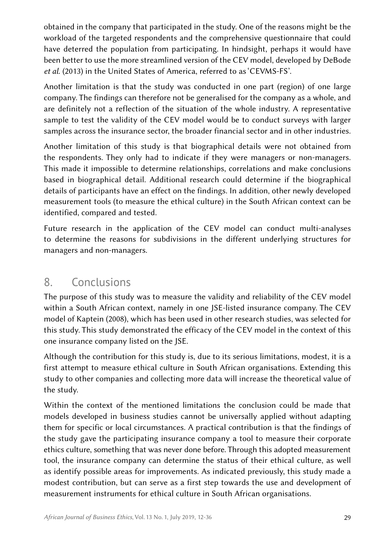obtained in the company that participated in the study. One of the reasons might be the workload of the targeted respondents and the comprehensive questionnaire that could have deterred the population from participating. In hindsight, perhaps it would have been better to use the more streamlined version of the CEV model, developed by DeBode *et al*. (2013) in the United States of America, referred to as 'CEVMS-FS'.

Another limitation is that the study was conducted in one part (region) of one large company. The findings can therefore not be generalised for the company as a whole, and are definitely not a reflection of the situation of the whole industry. A representative sample to test the validity of the CEV model would be to conduct surveys with larger samples across the insurance sector, the broader financial sector and in other industries.

Another limitation of this study is that biographical details were not obtained from the respondents. They only had to indicate if they were managers or non-managers. This made it impossible to determine relationships, correlations and make conclusions based in biographical detail. Additional research could determine if the biographical details of participants have an effect on the findings. In addition, other newly developed measurement tools (to measure the ethical culture) in the South African context can be identified, compared and tested.

Future research in the application of the CEV model can conduct multi-analyses to determine the reasons for subdivisions in the different underlying structures for managers and non-managers.

## 8. Conclusions

The purpose of this study was to measure the validity and reliability of the CEV model within a South African context, namely in one JSE-listed insurance company. The CEV model of Kaptein (2008), which has been used in other research studies, was selected for this study. This study demonstrated the efficacy of the CEV model in the context of this one insurance company listed on the JSE.

Although the contribution for this study is, due to its serious limitations, modest, it is a first attempt to measure ethical culture in South African organisations. Extending this study to other companies and collecting more data will increase the theoretical value of the study.

Within the context of the mentioned limitations the conclusion could be made that models developed in business studies cannot be universally applied without adapting them for specific or local circumstances. A practical contribution is that the findings of the study gave the participating insurance company a tool to measure their corporate ethics culture, something that was never done before. Through this adopted measurement tool, the insurance company can determine the status of their ethical culture, as well as identify possible areas for improvements. As indicated previously, this study made a modest contribution, but can serve as a first step towards the use and development of measurement instruments for ethical culture in South African organisations.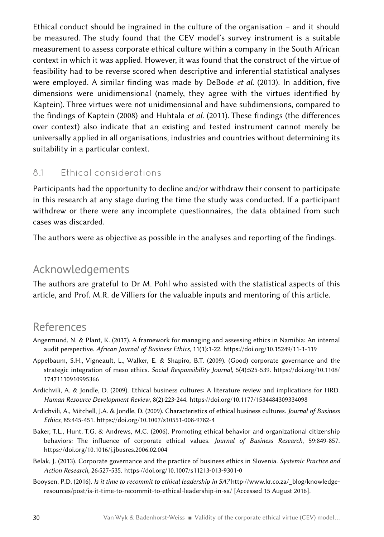Ethical conduct should be ingrained in the culture of the organisation – and it should be measured. The study found that the CEV model's survey instrument is a suitable measurement to assess corporate ethical culture within a company in the South African context in which it was applied. However, it was found that the construct of the virtue of feasibility had to be reverse scored when descriptive and inferential statistical analyses were employed. A similar finding was made by DeBode *et al.* (2013). In addition, five dimensions were unidimensional (namely, they agree with the virtues identified by Kaptein). Three virtues were not unidimensional and have subdimensions, compared to the findings of Kaptein (2008) and Huhtala *et al*. (2011). These findings (the differences over context) also indicate that an existing and tested instrument cannot merely be universally applied in all organisations, industries and countries without determining its suitability in a particular context.

#### 8.1 Ethical considerations

Participants had the opportunity to decline and/or withdraw their consent to participate in this research at any stage during the time the study was conducted. If a participant withdrew or there were any incomplete questionnaires, the data obtained from such cases was discarded.

The authors were as objective as possible in the analyses and reporting of the findings.

## Acknowledgements

The authors are grateful to Dr M. Pohl who assisted with the statistical aspects of this article, and Prof. M.R. de Villiers for the valuable inputs and mentoring of this article.

## References

- Angermund, N. & Plant, K. (2017). A framework for managing and assessing ethics in Namibia: An internal audit perspective. *African Journal of Business Ethics*, 11(1):1-22. <https://doi.org/10.15249/11-1-119>
- Appelbaum, S.H., Vigneault, L., Walker, E. & Shapiro, B.T. (2009). (Good) corporate governance and the strategic integration of meso ethics. *Social Responsibility Journal*, 5(4):525-539. [https://doi.org/10.1108/](https://doi.org/10.1108/17471110910995366) [17471110910995366](https://doi.org/10.1108/17471110910995366)
- Ardichvili, A. & Jondle, D. (2009). Ethical business cultures: A literature review and implications for HRD. *Human Resource Development Review*, 8(2):223-244. <https://doi.org/10.1177/1534484309334098>
- Ardichvili, A., Mitchell, J.A. & Jondle, D. (2009). Characteristics of ethical business cultures. *Journal of Business Ethics*, 85:445-451. <https://doi.org/10.1007/s10551-008-9782-4>
- Baker, T.L., Hunt, T.G. & Andrews, M.C. (2006). Promoting ethical behavior and organizational citizenship behaviors: The influence of corporate ethical values. *Journal of Business Research*, 59:849-857. <https://doi.org/10.1016/j.jbusres.2006.02.004>
- Belak, J. (2013). Corporate governance and the practice of business ethics in Slovenia. *Systemic Practice and Action Research*, 26:527-535.<https://doi.org/10.1007/s11213-013-9301-0>
- Booysen, P.D. (2016). *Is it time to recommit to ethical leadership in SA?* [http://www.kr.co.za/\\_blog/knowledge](http://www.kr.co.za/_blog/knowledge-resources/post/is-it-time-to-recommit-to-ethical-leadership-in-s)[resources/post/is-it-time-to-recommit-to-ethical-leadership-in-sa/](http://www.kr.co.za/_blog/knowledge-resources/post/is-it-time-to-recommit-to-ethical-leadership-in-s) [Accessed 15 August 2016].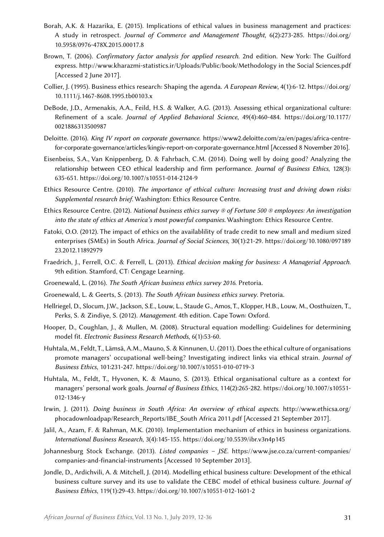- Borah, A.K. & Hazarika, E. (2015). Implications of ethical values in business management and practices: A study in retrospect. *Journal of Commerce and Management Thought*, 6(2):273-285. [https://doi.org/](https://doi.org/10.5958/0976-478X.2015.00017.8) [10.5958/0976-478X.2015.00017.8](https://doi.org/10.5958/0976-478X.2015.00017.8)
- Brown, T. (2006). *Confirmatory factor analysis for applied research*. 2nd edition. New York: The Guilford express.<http://www.kharazmi-statistics.ir/Uploads/Public/book/Methodology in the Social Sciences.pdf> [Accessed 2 June 2017].
- Collier, J. (1995). Business ethics research: Shaping the agenda. *A European Review*, 4(1):6-12. [https://doi.org/](https://doi.org/10.1111/j.1467-8608.1995.tb00103.x) [10.1111/j.1467-8608.1995.tb00103.x](https://doi.org/10.1111/j.1467-8608.1995.tb00103.x)
- DeBode, J.D., Armenakis, A.A., Feild, H.S. & Walker, A.G. (2013). Assessing ethical organizational culture: Refinement of a scale. *Journal of Applied Behavioral Science*, 49(4):460-484. [https://doi.org/10.1177/](https://doi.org/10.1177/0021886313500987) [0021886313500987](https://doi.org/10.1177/0021886313500987)
- Deloitte. (2016). *King IV report on corporate governance*. [https://www2.deloitte.com/za/en/pages/africa-centre](https://www2.deloitte.com/za/en/pages/africa-centre-for-corporate-governance/articles/kingiv-report-)[for-corporate-governance/articles/kingiv-report-on-corporate-governance.html](https://www2.deloitte.com/za/en/pages/africa-centre-for-corporate-governance/articles/kingiv-report-) [Accessed 8 November 2016].
- Eisenbeiss, S.A., Van Knippenberg, D. & Fahrbach, C.M. (2014). Doing well by doing good? Analyzing the relationship between CEO ethical leadership and firm performance. *Journal of Business Ethics*, 128(3): 635-651.<https://doi.org/10.1007/s10551-014-2124-9>
- Ethics Resource Centre. (2010). *The importance of ethical culture: Increasing trust and driving down risks: Supplemental research brief*. Washington: Ethics Resource Centre.
- Ethics Resource Centre. (2012). *National business ethics survey ® of Fortune 500 ® employees: An investigation into the state of ethics at America's most powerful companies*. Washington: Ethics Resource Centre.
- Fatoki, O.O. (2012). The impact of ethics on the availablility of trade credit to new small and medium sized enterprises (SMEs) in South Africa. *Journal of Social Sciences*, 30(1):21-29. [https://doi.org/10.1080/097189](https://doi.org/10.1080/09718923.2012.11892979) [23.2012.11892979](https://doi.org/10.1080/09718923.2012.11892979)
- Fraedrich, J., Ferrell, O.C. & Ferrell, L. (2013). *Ethical decision making for business: A Managerial Approach*. 9th edition. Stamford, CT: Cengage Learning.
- Groenewald, L. (2016). *The South African business ethics survey 2016*. Pretoria.
- Groenewald, L. & Geerts, S. (2013). *The South African business ethics survey*. Pretoria.
- Hellriegel, D., Slocum, J.W., Jackson, S.E., Louw, L., Staude G., Amos, T., Klopper, H.B., Louw, M., Oosthuizen, T., Perks, S. & Zindiye, S. (2012). *Management*. 4th edition. Cape Town: Oxford.
- Hooper, D., Coughlan, J., & Mullen, M. (2008). Structural equation modelling: Guidelines for determining model fit. *Electronic Business Research Methods*, 6(1):53-60.
- Huhtala, M., Feldt, T., Lämsä, A.M., Mauno, S. & Kinnunen, U. (2011). Does the ethical culture of organisations promote managers' occupational well-being? Investigating indirect links via ethical strain. *Journal of Business Ethics*, 101:231-247. <https://doi.org/10.1007/s10551-010-0719-3>
- Huhtala, M., Feldt, T., Hyvonen, K. & Mauno, S. (2013). Ethical organisational culture as a context for managers' personal work goals. *Journal of Business Ethics*, 114(2):265-282. [https://doi.org/10.1007/s10551-](https://doi.org/10.1007/s10551-012-1346-y) [012-1346-y](https://doi.org/10.1007/s10551-012-1346-y)
- Irwin, J. (2011). *Doing business in South Africa: An overview of ethical aspects*. [http://www.ethicsa.org/](http://www.ethicsa.org/phocadownloadpap/Research_Reports/IBE_South Africa 2011.pdf) [phocadownloadpap/Research\\_Reports/IBE\\_South Africa 2011.pdf](http://www.ethicsa.org/phocadownloadpap/Research_Reports/IBE_South Africa 2011.pdf) [Accessed 21 September 2017].
- Jalil, A., Azam, F. & Rahman, M.K. (2010). Implementation mechanism of ethics in business organizations. *International Business Research*, 3(4):145-155.<https://doi.org/10.5539/ibr.v3n4p145>
- Johannesburg Stock Exchange. (2013). *Listed companies JSE*. [https://www.jse.co.za/current-companies/](https://www.jse.co.za/current-companies/companies-and-financial-instruments) [companies-and-financial-instruments](https://www.jse.co.za/current-companies/companies-and-financial-instruments) [Accessed 10 September 2013].
- Jondle, D., Ardichvili, A. & Mitchell, J. (2014). Modelling ethical business culture: Development of the ethical business culture survey and its use to validate the CEBC model of ethical business culture. *Journal of Business Ethics*, 119(1):29-43.<https://doi.org/10.1007/s10551-012-1601-2>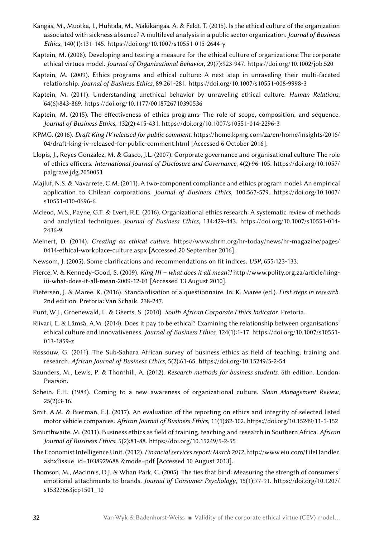- Kangas, M., Muotka, J., Huhtala, M., Mäkikangas, A. & Feldt, T. (2015). Is the ethical culture of the organization associated with sickness absence? A multilevel analysis in a public sector organization. *Journal of Business Ethics*, 140(1):131-145. <https://doi.org/10.1007/s10551-015-2644-y>
- Kaptein, M. (2008). Developing and testing a measure for the ethical culture of organizations: The corporate ethical virtues model. *Journal of Organizational Behavior*, 29(7):923-947. <https://doi.org/10.1002/job.520>
- Kaptein, M. (2009). Ethics programs and ethical culture: A next step in unraveling their multi-faceted relationship. *Journal of Business Ethics*, 89:261-281. <https://doi.org/10.1007/s10551-008-9998-3>
- Kaptein, M. (2011). Understanding unethical behavior by unraveling ethical culture. *Human Relations*, 64(6):843-869. <https://doi.org/10.1177/0018726710390536>
- Kaptein, M. (2015). The effectiveness of ethics programs: The role of scope, composition, and sequence. *Journal of Business Ethics*, 132(2):415-431.<https://doi.org/10.1007/s10551-014-2296-3>
- KPMG. (2016). *Draft King IV released for public comment*. [https://home.kpmg.com/za/en/home/insights/2016/](https://home.kpmg.com/za/en/home/insights/2016/04/draft-king-iv-released-for-public-comment.html) [04/draft-king-iv-released-for-public-comment.html](https://home.kpmg.com/za/en/home/insights/2016/04/draft-king-iv-released-for-public-comment.html) [Accessed 6 October 2016].
- Llopis, J., Reyes Gonzalez, M. & Gasco, J.L. (2007). Corporate governance and organisational culture: The role of ethics officers. *International Journal of Disclosure and Governance*, 4(2):96-105. [https://doi.org/10.1057/](https://doi.org/10.1057/palgrave.jdg.2050051) [palgrave.jdg.2050051](https://doi.org/10.1057/palgrave.jdg.2050051)
- Majluf, N.S. & Navarrete, C.M. (2011). A two-component compliance and ethics program model: An empirical application to Chilean corporations. *Journal of Business Ethics*, 100:567-579. [https://doi.org/10.1007/](https://doi.org/10.1007/s10551-010-0696-6) [s10551-010-0696-6](https://doi.org/10.1007/s10551-010-0696-6)
- Mcleod, M.S., Payne, G.T. & Evert, R.E. (2016). Organizational ethics research: A systematic review of methods and analytical techniques. *Journal of Business Ethics*, 134:429-443. [https://doi.org/10.1007/s10551-014-](https://doi.org/10.1007/s10551-014-2436-9) [2436-9](https://doi.org/10.1007/s10551-014-2436-9)
- Meinert, D. (2014). *Creating an ethical culture*. [https://www.shrm.org/hr-today/news/hr-magazine/pages/](https://www.shrm.org/hr-today/news/hr-magazine/pages/0414-ethical-workplace-culture.aspx) [0414-ethical-workplace-culture.aspx](https://www.shrm.org/hr-today/news/hr-magazine/pages/0414-ethical-workplace-culture.aspx) [Accessed 20 September 2016].
- Newsom, J. (2005). Some clarifications and recommendations on fit indices. *USP*, 655:123-133.
- Pierce, V. & Kennedy-Good, S. (2009). *King III what does it all mean?!* [http://www.polity.org.za/article/king](http://www.polity.org.za/article/king-iii-what-does-it-all-mean-2009-12-01)[iii-what-does-it-all-mean-2009-12-01](http://www.polity.org.za/article/king-iii-what-does-it-all-mean-2009-12-01) [Accessed 13 August 2010].
- Pietersen, J. & Maree, K. (2016). Standardisation of a questionnaire. In: K. Maree (ed.). *First steps in research*. 2nd edition. Pretoria: Van Schaik. 238-247.
- Punt, W.J., Groenewald, L. & Geerts, S. (2010). *South African Corporate Ethics Indicator*. Pretoria.
- Riivari, E. & Lämsä, A.M. (2014). Does it pay to be ethical? Examining the relationship between organisations' ethical culture and innovativeness. *Journal of Business Ethics*, 124(1):1-17. [https://doi.org/10.1007/s10551-](https://doi.org/10.1007/s10551-013-1859-z) [013-1859-z](https://doi.org/10.1007/s10551-013-1859-z)
- Rossouw, G. (2011). The Sub-Sahara African survey of business ethics as field of teaching, training and research. *African Journal of Business Ethics*, 5(2):61-65. <https://doi.org/10.15249/5-2-54>
- Saunders, M., Lewis, P. & Thornhill, A. (2012). *Research methods for business students*. 6th edition. London: Pearson.
- Schein, E.H. (1984). Coming to a new awareness of organizational culture. *Sloan Management Review*, 25(2):3-16.
- Smit, A.M. & Bierman, E.J. (2017). An evaluation of the reporting on ethics and integrity of selected listed motor vehicle companies. *African Journal of Business Ethics*, 11(1):82-102.<https://doi.org/10.15249/11-1-152>
- Smurthwaite, M. (2011). Business ethics as field of training, teaching and research in Southern Africa. *African Journal of Business Ethics*, 5(2):81-88. <https://doi.org/10.15249/5-2-55>
- The Economist Intelligence Unit. (2012). *Financial services report: March 2012*. [http://www.eiu.com/FileHandler.](http://www.eiu.com/FileHandler.ashx?issue_id=1038929688 &mode=pdf) [ashx?issue\\_id=1038929688 &mode=pdf](http://www.eiu.com/FileHandler.ashx?issue_id=1038929688 &mode=pdf) [Accessed 10 August 2013].
- Thomson, M., MacInnis, D.J. & Whan Park, C. (2005). The ties that bind: Measuring the strength of consumers' emotional attachments to brands. *Journal of Consumer Psychology*, 15(1):77-91. [https://doi.org/10.1207/](https://doi.org/10.1207/s15327663jcp1501_10) [s15327663jcp1501\\_10](https://doi.org/10.1207/s15327663jcp1501_10)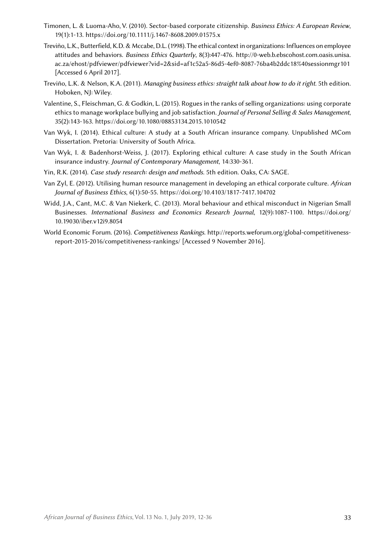- Timonen, L. & Luoma-Aho, V. (2010). Sector-based corporate citizenship. *Business Ethics: A European Review*, 19(1):1-13. <https://doi.org/10.1111/j.1467-8608.2009.01575.x>
- Treviño, L.K., Butterfield, K.D. & Mccabe, D.L. (1998). The ethical context in organizations: Influences on employee attitudes and behaviors. *Business Ethics Quarterly*, 8(3):447-476. [http://0-web.b.ebscohost.com.oasis.unisa.](http://0-web.b.ebscohost.com.oasis.unisa.ac.za/ehost/pdfviewer/pdfviewer?vid=2&sid=af1c52a5-86d5-4ef) [ac.za/ehost/pdfviewer/pdfviewer?vid=2&sid=af1c52a5-86d5-4ef0-8087-76ba4b2ddc18%40sessionmgr101](http://0-web.b.ebscohost.com.oasis.unisa.ac.za/ehost/pdfviewer/pdfviewer?vid=2&sid=af1c52a5-86d5-4ef) [Accessed 6 April 2017].
- Treviño, L.K. & Nelson, K.A. (2011). *Managing business ethics: straight talk about how to do it right*. 5th edition. Hoboken, NJ: Wiley.
- Valentine, S., Fleischman, G. & Godkin, L. (2015). Rogues in the ranks of selling organizations: using corporate ethics to manage workplace bullying and job satisfaction. *Journal of Personal Selling & Sales Management*, 35(2):143-163. <https://doi.org/10.1080/08853134.2015.1010542>
- Van Wyk, I. (2014). Ethical culture: A study at a South African insurance company. Unpublished MCom Dissertation. Pretoria: University of South Africa.
- Van Wyk, I. & Badenhorst-Weiss, J. (2017). Exploring ethical culture: A case study in the South African insurance industry. *Journal of Contemporary Management*, 14:330-361.
- Yin, R.K. (2014). *Case study research: design and methods*. 5th edition. Oaks, CA: SAGE.
- Van Zyl, E. (2012). Utilising human resource management in developing an ethical corporate culture. *African Journal of Business Ethics*, 6(1):50-55. <https://doi.org/10.4103/1817-7417.104702>
- Widd, J.A., Cant, M.C. & Van Niekerk, C. (2013). Moral behaviour and ethical misconduct in Nigerian Small Businesses. *International Business and Economics Research Journal*, 12(9):1087-1100. [https://doi.org/](https://doi.org/10.19030/iber.v12i9.8054) [10.19030/iber.v12i9.8054](https://doi.org/10.19030/iber.v12i9.8054)
- World Economic Forum. (2016). *Competitiveness Rankings*. [http://reports.weforum.org/global-competitiveness](http://reports.weforum.org/global-competitiveness-report-2015-2016/competitiveness-rankings/)[report-2015-2016/competitiveness-rankings/](http://reports.weforum.org/global-competitiveness-report-2015-2016/competitiveness-rankings/) [Accessed 9 November 2016].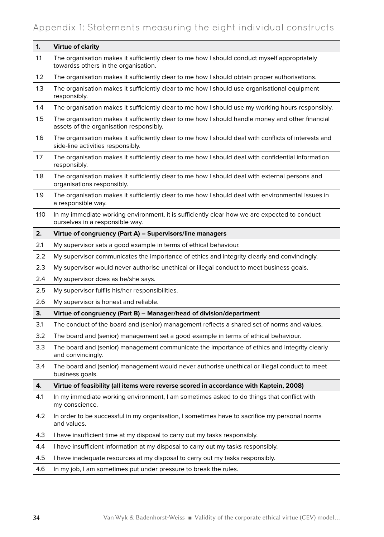### Appendix 1: Statements measuring the eight individual constructs

| 1.      | <b>Virtue of clarity</b>                                                                                                                    |
|---------|---------------------------------------------------------------------------------------------------------------------------------------------|
| 1.1     | The organisation makes it sufficiently clear to me how I should conduct myself appropriately<br>towardss others in the organisation.        |
| $1.2\,$ | The organisation makes it sufficiently clear to me how I should obtain proper authorisations.                                               |
| 1.3     | The organisation makes it sufficiently clear to me how I should use organisational equipment<br>responsibly.                                |
| 1.4     | The organisation makes it sufficiently clear to me how I should use my working hours responsibly.                                           |
| 1.5     | The organisation makes it sufficiently clear to me how I should handle money and other financial<br>assets of the organisation responsibly. |
| 1.6     | The organisation makes it sufficiently clear to me how I should deal with conflicts of interests and<br>side-line activities responsibly.   |
| 1.7     | The organisation makes it sufficiently clear to me how I should deal with confidential information<br>responsibly.                          |
| 1.8     | The organisation makes it sufficiently clear to me how I should deal with external persons and<br>organisations responsibly.                |
| 1.9     | The organisation makes it sufficiently clear to me how I should deal with environmental issues in<br>a responsible way.                     |
| 1.10    | In my immediate working environment, it is sufficiently clear how we are expected to conduct<br>ourselves in a responsible way.             |
| 2.      | Virtue of congruency (Part A) - Supervisors/line managers                                                                                   |
| 2.1     | My supervisor sets a good example in terms of ethical behaviour.                                                                            |
| 2.2     | My supervisor communicates the importance of ethics and integrity clearly and convincingly.                                                 |
| 2.3     | My supervisor would never authorise unethical or illegal conduct to meet business goals.                                                    |
| 2.4     | My supervisor does as he/she says.                                                                                                          |
| 2.5     | My supervisor fulfils his/her responsibilities.                                                                                             |
| 2.6     | My supervisor is honest and reliable.                                                                                                       |
| 3.      | Virtue of congruency (Part B) - Manager/head of division/department                                                                         |
| 3.1     | The conduct of the board and (senior) management reflects a shared set of norms and values.                                                 |
| 3.2     | The board and (senior) management set a good example in terms of ethical behaviour.                                                         |
| 3.3     | The board and (senior) management communicate the importance of ethics and integrity clearly<br>and convincingly.                           |
| 3.4     | The board and (senior) management would never authorise unethical or illegal conduct to meet<br>business goals.                             |
| 4.      | Virtue of feasibility (all items were reverse scored in accordance with Kaptein, 2008)                                                      |
| 4.1     | In my immediate working environment, I am sometimes asked to do things that conflict with<br>my conscience.                                 |
| 4.2     | In order to be successful in my organisation, I sometimes have to sacrifice my personal norms<br>and values.                                |
| 4.3     | I have insufficient time at my disposal to carry out my tasks responsibly.                                                                  |
| 4.4     | I have insufficient information at my disposal to carry out my tasks responsibly.                                                           |
| 4.5     | I have inadequate resources at my disposal to carry out my tasks responsibly.                                                               |
| 4.6     | In my job, I am sometimes put under pressure to break the rules.                                                                            |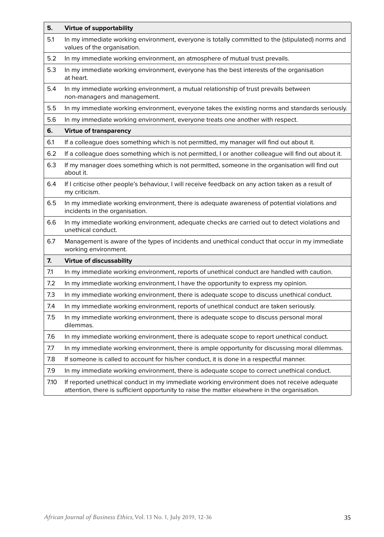| 5.   | <b>Virtue of supportability</b>                                                                                                                                                              |
|------|----------------------------------------------------------------------------------------------------------------------------------------------------------------------------------------------|
| 5.1  | In my immediate working environment, everyone is totally committed to the (stipulated) norms and<br>values of the organisation.                                                              |
| 5.2  | In my immediate working environment, an atmosphere of mutual trust prevails.                                                                                                                 |
| 5.3  | In my immediate working environment, everyone has the best interests of the organisation<br>at heart.                                                                                        |
| 5.4  | In my immediate working environment, a mutual relationship of trust prevails between<br>non-managers and management.                                                                         |
| 5.5  | In my immediate working environment, everyone takes the existing norms and standards seriously.                                                                                              |
| 5.6  | In my immediate working environment, everyone treats one another with respect.                                                                                                               |
| 6.   | <b>Virtue of transparency</b>                                                                                                                                                                |
| 6.1  | If a colleague does something which is not permitted, my manager will find out about it.                                                                                                     |
| 6.2  | If a colleague does something which is not permitted, I or another colleague will find out about it.                                                                                         |
| 6.3  | If my manager does something which is not permitted, someone in the organisation will find out<br>about it.                                                                                  |
| 6.4  | If I criticise other people's behaviour, I will receive feedback on any action taken as a result of<br>my criticism.                                                                         |
| 6.5  | In my immediate working environment, there is adequate awareness of potential violations and<br>incidents in the organisation.                                                               |
| 6.6  | In my immediate working environment, adequate checks are carried out to detect violations and<br>unethical conduct.                                                                          |
| 6.7  | Management is aware of the types of incidents and unethical conduct that occur in my immediate<br>working environment.                                                                       |
| 7.   | <b>Virtue of discussability</b>                                                                                                                                                              |
| 7.1  | In my immediate working environment, reports of unethical conduct are handled with caution.                                                                                                  |
| 7.2  | In my immediate working environment, I have the opportunity to express my opinion.                                                                                                           |
| 7.3  | In my immediate working environment, there is adequate scope to discuss unethical conduct.                                                                                                   |
| 7.4  | In my immediate working environment, reports of unethical conduct are taken seriously.                                                                                                       |
| 7.5  | In my immediate working environment, there is adequate scope to discuss personal moral<br>dilemmas.                                                                                          |
| 7.6  | In my immediate working environment, there is adequate scope to report unethical conduct.                                                                                                    |
| 7.7  | In my immediate working environment, there is ample opportunity for discussing moral dilemmas.                                                                                               |
| 7.8  | If someone is called to account for his/her conduct, it is done in a respectful manner.                                                                                                      |
| 7.9  | In my immediate working environment, there is adequate scope to correct unethical conduct.                                                                                                   |
| 7.10 | If reported unethical conduct in my immediate working environment does not receive adequate<br>attention, there is sufficient opportunity to raise the matter elsewhere in the organisation. |